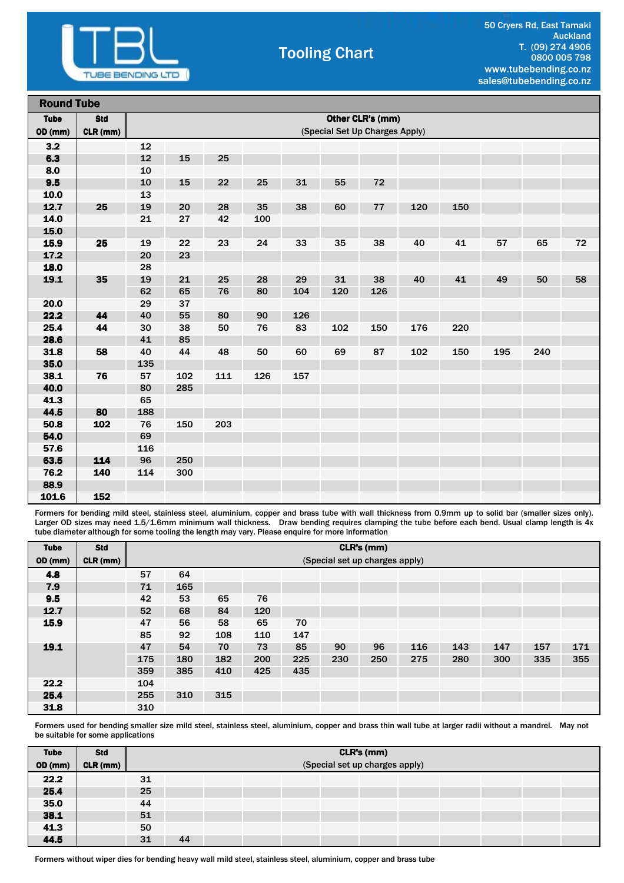

## Tooling Chart

|             | <b>Round Tube</b> |     |                                |     |     |     |     |     |     |     |     |     |    |
|-------------|-------------------|-----|--------------------------------|-----|-----|-----|-----|-----|-----|-----|-----|-----|----|
| <b>Tube</b> | <b>Std</b>        |     | Other CLR's (mm)               |     |     |     |     |     |     |     |     |     |    |
| OD (mm)     | CLR (mm)          |     | (Special Set Up Charges Apply) |     |     |     |     |     |     |     |     |     |    |
| 3.2         |                   | 12  |                                |     |     |     |     |     |     |     |     |     |    |
| 6.3         |                   | 12  | 15                             | 25  |     |     |     |     |     |     |     |     |    |
| 8.0         |                   | 10  |                                |     |     |     |     |     |     |     |     |     |    |
| 9.5         |                   | 10  | 15                             | 22  | 25  | 31  | 55  | 72  |     |     |     |     |    |
| 10.0        |                   | 13  |                                |     |     |     |     |     |     |     |     |     |    |
| 12.7        | 25                | 19  | 20                             | 28  | 35  | 38  | 60  | 77  | 120 | 150 |     |     |    |
| 14.0        |                   | 21  | 27                             | 42  | 100 |     |     |     |     |     |     |     |    |
| 15.0        |                   |     |                                |     |     |     |     |     |     |     |     |     |    |
| 15.9        | 25                | 19  | 22                             | 23  | 24  | 33  | 35  | 38  | 40  | 41  | 57  | 65  | 72 |
| 17.2        |                   | 20  | 23                             |     |     |     |     |     |     |     |     |     |    |
| 18.0        |                   | 28  |                                |     |     |     |     |     |     |     |     |     |    |
| 19.1        | 35                | 19  | 21                             | 25  | 28  | 29  | 31  | 38  | 40  | 41  | 49  | 50  | 58 |
|             |                   | 62  | 65                             | 76  | 80  | 104 | 120 | 126 |     |     |     |     |    |
| 20.0        |                   | 29  | 37                             |     |     |     |     |     |     |     |     |     |    |
| 22.2        | 44                | 40  | 55                             | 80  | 90  | 126 |     |     |     |     |     |     |    |
| 25.4        | 44                | 30  | 38                             | 50  | 76  | 83  | 102 | 150 | 176 | 220 |     |     |    |
| 28.6        |                   | 41  | 85                             |     |     |     |     |     |     |     |     |     |    |
| 31.8        | 58                | 40  | 44                             | 48  | 50  | 60  | 69  | 87  | 102 | 150 | 195 | 240 |    |
| 35.0        |                   | 135 |                                |     |     |     |     |     |     |     |     |     |    |
| 38.1        | 76                | 57  | 102                            | 111 | 126 | 157 |     |     |     |     |     |     |    |
| 40.0        |                   | 80  | 285                            |     |     |     |     |     |     |     |     |     |    |
| 41.3        |                   | 65  |                                |     |     |     |     |     |     |     |     |     |    |
| 44.5        | 80                | 188 |                                |     |     |     |     |     |     |     |     |     |    |
| 50.8        | 102               | 76  | 150                            | 203 |     |     |     |     |     |     |     |     |    |
| 54.0        |                   | 69  |                                |     |     |     |     |     |     |     |     |     |    |
| 57.6        |                   | 116 |                                |     |     |     |     |     |     |     |     |     |    |
| 63.5        | 114               | 96  | 250                            |     |     |     |     |     |     |     |     |     |    |
| 76.2        | 140               | 114 | 300                            |     |     |     |     |     |     |     |     |     |    |
| 88.9        |                   |     |                                |     |     |     |     |     |     |     |     |     |    |
| 101.6       | 152               |     |                                |     |     |     |     |     |     |     |     |     |    |

Formers for bending mild steel, stainless steel, aluminium, copper and brass tube with wall thickness from 0.9mm up to solid bar (smaller sizes only). Larger OD sizes may need 1.5/1.6mm minimum wall thickness. Draw bending requires clamping the tube before each bend. Usual clamp length is 4x tube diameter although for some tooling the length may vary. Please enquire for more information

| <b>Tube</b>    | <b>Std</b> |     | CLR's (mm) |     |     |     |     |                                |     |     |     |     |     |
|----------------|------------|-----|------------|-----|-----|-----|-----|--------------------------------|-----|-----|-----|-----|-----|
| <b>OD</b> (mm) | CLR (mm)   |     |            |     |     |     |     | (Special set up charges apply) |     |     |     |     |     |
| 4.8            |            | 57  | 64         |     |     |     |     |                                |     |     |     |     |     |
| 7.9            |            | 71  | 165        |     |     |     |     |                                |     |     |     |     |     |
| 9.5            |            | 42  | 53         | 65  | 76  |     |     |                                |     |     |     |     |     |
| 12.7           |            | 52  | 68         | 84  | 120 |     |     |                                |     |     |     |     |     |
| 15.9           |            | 47  | 56         | 58  | 65  | 70  |     |                                |     |     |     |     |     |
|                |            | 85  | 92         | 108 | 110 | 147 |     |                                |     |     |     |     |     |
| 19.1           |            | 47  | 54         | 70  | 73  | 85  | 90  | 96                             | 116 | 143 | 147 | 157 | 171 |
|                |            | 175 | 180        | 182 | 200 | 225 | 230 | 250                            | 275 | 280 | 300 | 335 | 355 |
|                |            | 359 | 385        | 410 | 425 | 435 |     |                                |     |     |     |     |     |
| 22.2           |            | 104 |            |     |     |     |     |                                |     |     |     |     |     |
| 25.4           |            | 255 | 310        | 315 |     |     |     |                                |     |     |     |     |     |
| 31.8           |            | 310 |            |     |     |     |     |                                |     |     |     |     |     |

Formers used for bending smaller size mild steel, stainless steel, aluminium, copper and brass thin wall tube at larger radii without a mandrel. May not be suitable for some applications

| <b>Tube</b>    | <b>Std</b> |    | CLR's (mm)                     |  |  |  |  |  |  |  |  |  |
|----------------|------------|----|--------------------------------|--|--|--|--|--|--|--|--|--|
| <b>OD</b> (mm) | CLR (mm)   |    | (Special set up charges apply) |  |  |  |  |  |  |  |  |  |
| 22.2           |            | 31 |                                |  |  |  |  |  |  |  |  |  |
| 25.4           |            | 25 |                                |  |  |  |  |  |  |  |  |  |
| 35.0           |            | 44 |                                |  |  |  |  |  |  |  |  |  |
| 38.1           |            | 51 |                                |  |  |  |  |  |  |  |  |  |
| 41.3           |            | 50 |                                |  |  |  |  |  |  |  |  |  |
| 44.5           |            | 31 | 44                             |  |  |  |  |  |  |  |  |  |

Formers without wiper dies for bending heavy wall mild steel, stainless steel, aluminium, copper and brass tube